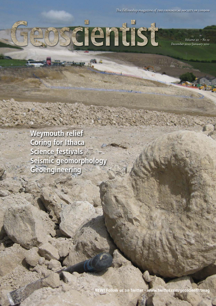*The Fellowship magazine of* The Geological Society of London

Geoscientist

Service of Ma

*Volume 20 • No 12 December 2010/January 2011*

**Weymouth relief Coring for Ithaca Science festivals Seismic geomorphology Geoengineering**

**NEW! Follow us on Twitter - www.twitter.com/geoscientistmag**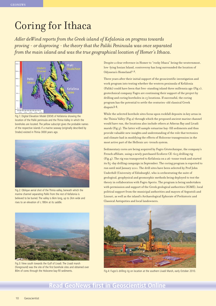# Coring for Ithaca

*Adler deWind reports from the Greek island of Kefalonia on progress towards proving - or disproving - the theory that the Paliki Peninsula was once separated from the main island and was the true geographical location of Homer's Ithaca.*



Fig.1: Digital Elevation Model (DEM) of Kefalonia showing the location of the Paliki peninsula and the Thinia Valley in which the boreholes are located. The yellow subscript gives the probable names of the respective islands if a marine seaway (originally described by Strabo) existed in Thinia 3000 years ago.



Fig.2: Oblique aerial shot of the Thinia valley, beneath which the marine channel separating Paliki from the rest of Kefalonia is believed to be buried. The valley is 6km long, up to 2km wide and rises to an elevation of c.180m at its saddle.



Fig.3: View south towards the Gulf of Livadi. The Livadi marsh (foreground) was the site of the first borehole sites and obtained over

Despite a clear reference in Homer to "rocky Ithaca" being the westernmost, low-lying Ionian Island, controversy has long surrounded the location of Odysseus's Homeland<sup>1,2</sup>.

Three years after their initial support of the geoscientific investigation and work program into testing whether the western peninsula of Kefalonia (Paliki) could have been that free-standing island three millennia ago (Fig.1), geotechnical company Fugro are continuing their support of the project by drilling and coring boreholes in 15 locations. If successful, the coring program has the potential to settle the centuries-old classical Greek dispute3,4.

While the selected borehole sites focus upon rockfall deposits in key areas in the Thinia Valley (Fig.2) through which the proposed ancient marine channel would have run, the locations also include others at Atheras Bay and Livadi marsh (Fig.3). The latter will sample estuarine bay-fill sediments and thus provide valuable new insights and understanding of the role that tectonics and climate had in modifying the effects of Holocene transgression in the most active part of the Hellenic arc-trench system.

Sedimentary cores are being acquired by Fugro Géotechnique, the company's French affiliate, using a newly purchased Ecoforce CE-603 drilling rig (Fig.4). The rig was transported to Kefalonia on a 26-tonne truck and started its 85-day drilling campaign in September. The coring program is expected to run until mid January 2011. The drill sites have been selected by Prof John Underhill (University of Edinburgh), who is orchestrating the suite of geological, geophysical and geomorphic methods being deployed to test the theory in collaboration with Fugro Aperio. The program is being undertaken with permission and support of the Greek geological authorities (IGME), local political support from the municipal authorities and mayors of Argostoli and Lixouri, as well as the island's Archaeological Ephorate of Prehistoric and Classical Antiquities and local landowners.



80m of cores through the Holocene bay-fill sediments. Fig.4: Fugro's drilling rig on location at the southern Livadi Marsh, early October 2010.

### **Read GeoNews first in Geoscientist Online**